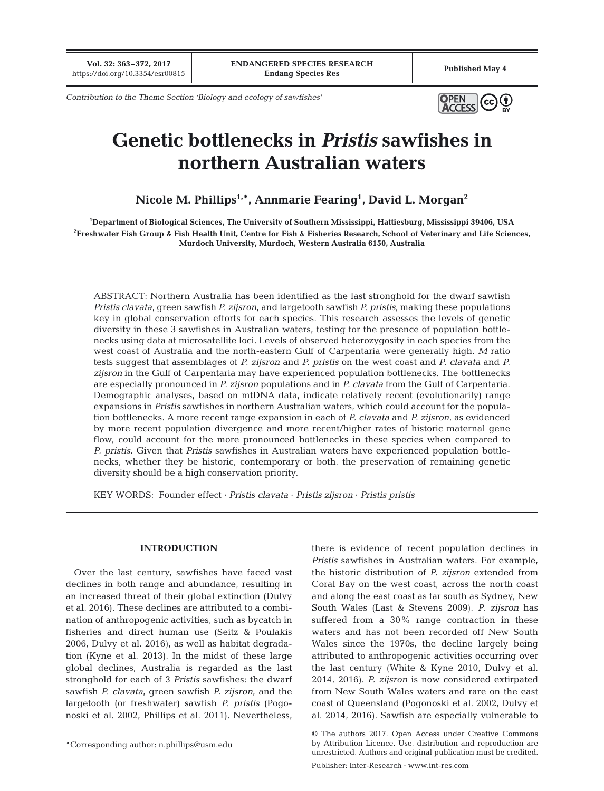**Vol. 32: 363–372, 2017**

*Contribution to the Theme Section 'Biology and ecology of sawfishes'*



# **Genetic bottlenecks in** *Pristis* **sawfishes in northern Australian waters**

**Nicole M. Phillips1,\*, Annmarie Fearing1 , David L. Morgan2**

**1 Department of Biological Sciences, The University of Southern Mississippi, Hattiesburg, Mississippi 39406, USA 2 Freshwater Fish Group & Fish Health Unit, Centre for Fish & Fisheries Research, School of Veterinary and Life Sciences, Murdoch University, Murdoch, Western Australia 6150, Australia**

ABSTRACT: Northern Australia has been identified as the last stronghold for the dwarf sawfish *Pristis clavata*, green sawfish *P. zijsron*, and largetooth sawfish *P. pristis*, making these populations key in global conservation efforts for each species. This research assesses the levels of genetic diversity in these 3 sawfishes in Australian waters, testing for the presence of population bottlenecks using data at microsatellite loci. Levels of observed heterozygosity in each species from the west coast of Australia and the north-eastern Gulf of Carpentaria were generally high. *M* ratio tests suggest that assemblages of *P. zijsron* and *P. pristis* on the west coast and *P. clavata* and *P. zijsron* in the Gulf of Carpentaria may have experienced population bottlenecks. The bottlenecks are especially pronounced in *P. zijsron* populations and in *P. clavata* from the Gulf of Carpentaria. Demographic analyses, based on mtDNA data, indicate relatively recent (evolutionarily) range expansions in *Pristis* sawfishes in northern Australian waters, which could account for the population bottlenecks. A more recent range expansion in each of *P. clavata* and *P. zijsron*, as evidenced by more recent population divergence and more recent/higher rates of historic maternal gene flow, could account for the more pronounced bottlenecks in these species when compared to *P. pristis*. Given that *Pristis* sawfishes in Australian waters have experienced population bottlenecks, whether they be historic, contemporary or both, the preservation of remaining genetic diversity should be a high conservation priority.

KEY WORDS: Founder effect · *Pristis clavata* · *Pristis zijsron* · *Pristis pristis*

# **INTRODUCTION**

Over the last century, sawfishes have faced vast declines in both range and abundance, resulting in an increased threat of their global extinction (Dulvy et al. 2016). These declines are attributed to a combination of anthropogenic activities, such as bycatch in fisheries and direct human use (Seitz & Poulakis 2006, Dulvy et al. 2016), as well as habitat degradation (Kyne et al. 2013). In the midst of these large global declines, Australia is regarded as the last stronghold for each of 3 *Pristis* sawfishes: the dwarf sawfish *P. clavata*, green sawfish *P. zijsron*, and the largetooth (or freshwater) sawfish *P. pristis* (Pogonoski et al. 2002, Phillips et al. 2011). Nevertheless,

\*Corresponding author: n.phillips@usm.edu

there is evidence of recent population declines in *Pristis* sawfishes in Australian waters. For example, the historic distribution of *P. zijsron* extended from Coral Bay on the west coast, across the north coast and along the east coast as far south as Sydney, New South Wales (Last & Stevens 2009). *P. zijsron* has suffered from a 30% range contraction in these waters and has not been recorded off New South Wales since the 1970s, the decline largely being attributed to anthropogenic activities occurring over the last century (White & Kyne 2010, Dulvy et al. 2014, 2016). *P. zijsron* is now considered extirpated from New South Wales waters and rare on the east coast of Queensland (Pogonoski et al. 2002, Dulvy et al. 2014, 2016). Sawfish are especially vulnerable to

<sup>©</sup> The authors 2017. Open Access under Creative Commons by Attribution Licence. Use, distribution and reproduction are unrestricted. Authors and original publication must be credited.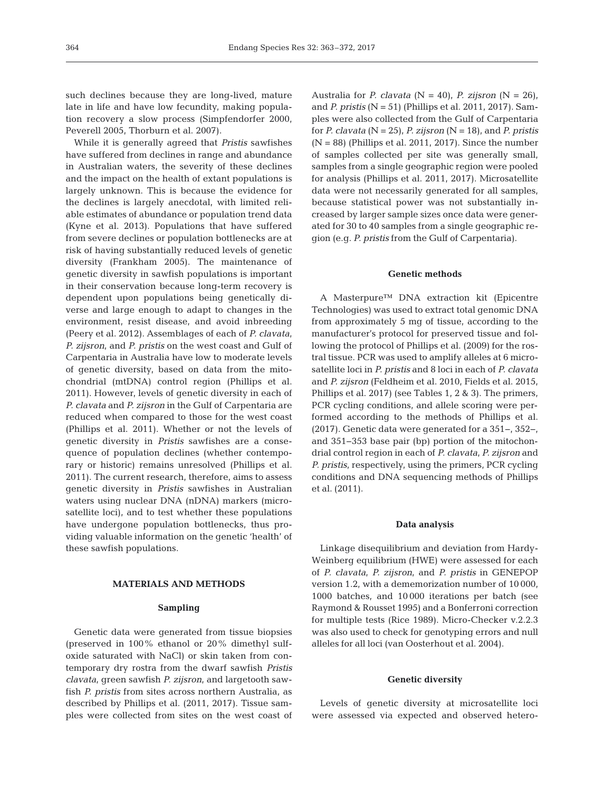such declines because they are long-lived, mature late in life and have low fecundity, making population recovery a slow process (Simpfendorfer 2000, Peverell 2005, Thorburn et al. 2007).

While it is generally agreed that *Pristis* sawfishes have suffered from declines in range and abundance in Australian waters, the severity of these declines and the impact on the health of extant populations is largely unknown. This is because the evidence for the declines is largely anecdotal, with limited reliable estimates of abundance or population trend data (Kyne et al. 2013). Populations that have suffered from severe declines or population bottlenecks are at risk of having substantially reduced levels of genetic diversity (Frankham 2005). The maintenance of genetic diversity in sawfish populations is important in their conservation because long-term recovery is dependent upon populations being genetically diverse and large enough to adapt to changes in the environment, resist disease, and avoid inbreeding (Peery et al. 2012). Assemblages of each of *P. clavata*, *P. zijsron*, and *P. pristis* on the west coast and Gulf of Carpentaria in Australia have low to moderate levels of genetic diversity, based on data from the mitochondrial (mtDNA) control region (Phillips et al. 2011). However, levels of genetic diversity in each of *P. clavata* and *P. zijsron* in the Gulf of Carpentaria are reduced when compared to those for the west coast (Phillips et al. 2011). Whether or not the levels of genetic diversity in *Pristis* sawfishes are a consequence of population declines (whether contemporary or historic) remains unresolved (Phillips et al. 2011). The current research, therefore, aims to assess genetic diversity in *Pristis* sawfishes in Australian waters using nuclear DNA (nDNA) markers (microsatellite loci), and to test whether these populations have undergone population bottlenecks, thus providing valuable information on the genetic 'health' of these sawfish populations.

## **MATERIALS AND METHODS**

#### **Sampling**

Genetic data were generated from tissue biopsies (preserved in  $100\%$  ethanol or  $20\%$  dimethyl sulfoxide saturated with NaCl) or skin taken from contemporary dry rostra from the dwarf sawfish *Pristis clavata*, green sawfish *P. zijsron*, and largetooth sawfish *P. pristis* from sites across northern Australia, as described by Phillips et al. (2011, 2017). Tissue samples were collected from sites on the west coast of Australia for *P. clavata* (N = 40), *P. zijsron* (N = 26), and *P. pristis* (N = 51) (Phillips et al. 2011, 2017). Samples were also collected from the Gulf of Carpentaria for *P. clavata* (N = 25), *P. zijsron* (N = 18), and *P. pristis*  $(N = 88)$  (Phillips et al. 2011, 2017). Since the number of samples collected per site was generally small, samples from a single geographic region were pooled for analysis (Phillips et al. 2011, 2017). Microsatellite data were not necessarily generated for all samples, because statistical power was not substantially increased by larger sample sizes once data were generated for 30 to 40 samples from a single geographic region (e.g. *P. pristis* from the Gulf of Carpentaria).

#### **Genetic methods**

A Masterpure™ DNA extraction kit (Epicentre Technologies) was used to extract total genomic DNA from approximately 5 mg of tissue, according to the manufacturer's protocol for preserved tissue and following the protocol of Phillips et al. (2009) for the rostral tissue. PCR was used to amplify alleles at 6 microsatellite loci in *P. pristis* and 8 loci in each of *P. clavata* and *P. zijsron* (Feldheim et al. 2010, Fields et al. 2015, Phillips et al. 2017) (see Tables 1, 2 & 3). The primers, PCR cycling conditions, and allele scoring were performed according to the methods of Phillips et al. (2017). Genetic data were generated for a 351−, 352−, and 351−353 base pair (bp) portion of the mitochondrial control region in each of *P. clavata*, *P. zijsron* and *P. pristis*, respectively, using the primers, PCR cycling conditions and DNA sequencing methods of Phillips et al. (2011).

# **Data analysis**

Linkage disequilibrium and deviation from Hardy-Weinberg equilibrium (HWE) were assessed for each of *P. clavata*, *P. zijsron*, and *P. pristis* in GENEPOP version 1.2, with a dememorization number of 10 000, 1000 batches, and 10 000 iterations per batch (see Raymond & Rousset 1995) and a Bonferroni correction for multiple tests (Rice 1989). Micro-Checker v.2.2.3 was also used to check for genotyping errors and null alleles for all loci (van Oosterhout et al. 2004).

#### **Genetic diversity**

Levels of genetic diversity at microsatellite loci were assessed via expected and observed hetero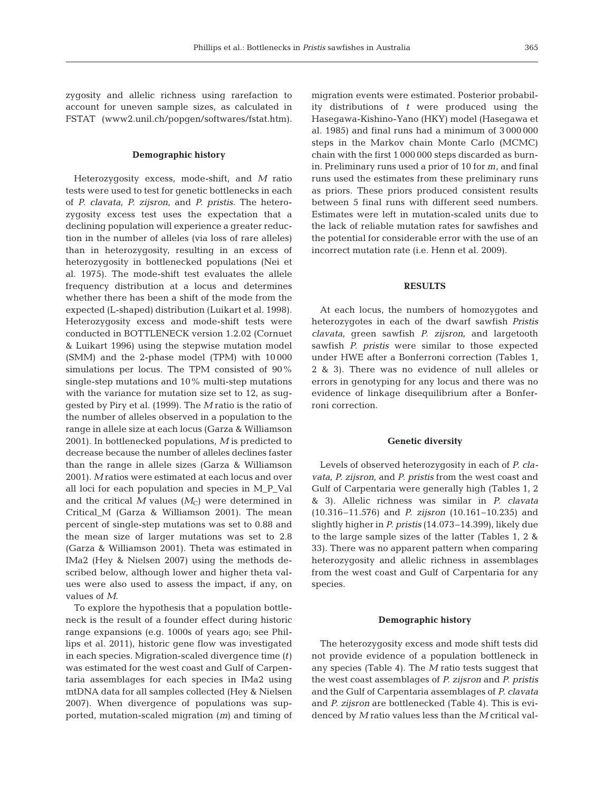zygosity and allelic richness using rarefaction to account for uneven sample sizes, as calculated in FSTAT (www2.unil.ch/popgen/softwares/fstat.htm).

## **Demographic history**

Heterozygosity excess, mode-shift, and *M* ratio tests were used to test for genetic bottlenecks in each of *P. clavata*, *P. zijsron*, and *P. pristis*. The hetero zygosity excess test uses the expectation that a declining population will experience a greater reduction in the number of alleles (via loss of rare alleles) than in heterozygosity, resulting in an excess of heterozygosity in bottlenecked populations (Nei et al. 1975). The mode-shift test evaluates the allele frequency distribution at a locus and determines whether there has been a shift of the mode from the expected (L-shaped) distribution (Luikart et al. 1998). Heterozygosity excess and mode-shift tests were conducted in BOTTLENECK version 1.2.02 (Cornuet & Luikart 1996) using the stepwise mutation model (SMM) and the 2-phase model (TPM) with 10 000 simulations per locus. The TPM consisted of 90% single-step mutations and 10% multi-step mutations with the variance for mutation size set to 12, as suggested by Piry et al. (1999). The *M* ratio is the ratio of the number of alleles observed in a population to the range in allele size at each locus (Garza & Williamson 2001). In bottlenecked populations, *M* is predicted to decrease because the number of alleles declines faster than the range in allele sizes (Garza & Williamson 2001). *M* ratios were estimated at each locus and over all loci for each population and species in M\_P\_Val and the critical  $M$  values  $(M_C)$  were determined in Critical\_M (Garza & Williamson 2001). The mean percent of single-step mutations was set to 0.88 and the mean size of larger mutations was set to 2.8 (Garza & Williamson 2001). Theta was estimated in IMa2 (Hey & Nielsen 2007) using the methods described below, although lower and higher theta values were also used to assess the impact, if any, on values of *M*.

To explore the hypothesis that a population bottleneck is the result of a founder effect during historic range expansions (e.g. 1000s of years ago; see Phillips et al. 2011), historic gene flow was investigated in each species. Migration-scaled divergence time (*t*) was estimated for the west coast and Gulf of Carpentaria assemblages for each species in IMa2 using mtDNA data for all samples collected (Hey & Nielsen 2007). When divergence of populations was supported, mutation-scaled migration (*m*) and timing of

migration events were estimated. Posterior probability distributions of *t* were produced using the Hasegawa-Kishino-Yano (HKY) model (Hasegawa et al. 1985) and final runs had a minimum of 3 000 000 steps in the Markov chain Monte Carlo (MCMC) chain with the first 1 000 000 steps discarded as burnin. Preliminary runs used a prior of 10 for *m*, and final runs used the estimates from these preliminary runs as priors. These priors produced consistent results between 5 final runs with different seed numbers. Estimates were left in mutation-scaled units due to the lack of reliable mutation rates for sawfishes and the potential for considerable error with the use of an incorrect mutation rate (i.e. Henn et al. 2009).

## **RESULTS**

At each locus, the numbers of homozygotes and heterozygotes in each of the dwarf sawfish *Pristis clavata*, green sawfish *P. zijsron*, and largetooth sawfish *P. pristis* were similar to those expected under HWE after a Bonferroni correction (Tables 1, 2 & 3). There was no evidence of null alleles or errors in genotyping for any locus and there was no evidence of linkage disequilibrium after a Bonferroni correction.

#### **Genetic diversity**

Levels of observed heterozygosity in each of *P. cla vata*, *P. zijsron*, and *P. pristis* from the west coast and Gulf of Carpentaria were generally high (Tables 1, 2 & 3). Allelic richness was similar in *P. clavata* (10.316–11.576) and *P. zijsron* (10.161–10.235) and slightly higher in *P. pristis* (14.073–14.399), likely due to the large sample sizes of the latter (Tables 1, 2 & 33). There was no apparent pattern when comparing heterozygosity and allelic richness in assemblages from the west coast and Gulf of Carpentaria for any species.

## **Demographic history**

The heterozygosity excess and mode shift tests did not provide evidence of a population bottleneck in any species (Table 4). The *M* ratio tests suggest that the west coast assemblages of *P. zijsron* and *P. pristis* and the Gulf of Carpentaria assemblages of *P. clavata* and *P. zijsron* are bottlenecked (Table 4). This is evidenced by *M* ratio values less than the *M* critical val-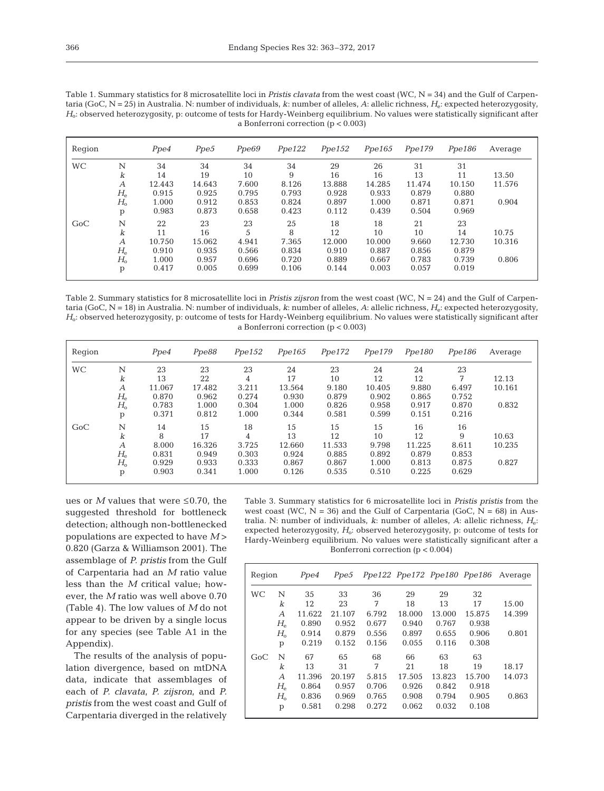|           |                  | . .<br>. . |        |       | a Bonferroni correction ( $p < 0.003$ ) |        |        |        |        |         |  |  |
|-----------|------------------|------------|--------|-------|-----------------------------------------|--------|--------|--------|--------|---------|--|--|
| Region    |                  | Ppe4       | Ppe5   | Ppe69 | Ppe122                                  | Ppe152 | Ppe165 | Ppe179 | Ppe186 | Average |  |  |
| <b>WC</b> | N                | 34         | 34     | 34    | 34                                      | 29     | 26     | 31     | 31     |         |  |  |
|           | k                | 14         | 19     | 10    | 9                                       | 16     | 16     | 13     | 11     | 13.50   |  |  |
|           | А                | 12.443     | 14.643 | 7.600 | 8.126                                   | 13.888 | 14.285 | 11.474 | 10.150 | 11.576  |  |  |
|           | $H_{\rm e}$      | 0.915      | 0.925  | 0.795 | 0.793                                   | 0.928  | 0.933  | 0.879  | 0.880  |         |  |  |
|           | $H_{\rm o}$      | 1.000      | 0.912  | 0.853 | 0.824                                   | 0.897  | 1.000  | 0.871  | 0.871  | 0.904   |  |  |
|           | p                | 0.983      | 0.873  | 0.658 | 0.423                                   | 0.112  | 0.439  | 0.504  | 0.969  |         |  |  |
| GoC       | N                | 22         | 23     | 23    | 25                                      | 18     | 18     | 21     | 23     |         |  |  |
|           | k                | 11         | 16     | 5     | 8                                       | 12     | 10     | 10     | 14     | 10.75   |  |  |
|           | $\boldsymbol{A}$ | 10.750     | 15.062 | 4.941 | 7.365                                   | 12.000 | 10.000 | 9.660  | 12.730 | 10.316  |  |  |
|           | $H_{\rm e}$      | 0.910      | 0.935  | 0.566 | 0.834                                   | 0.910  | 0.887  | 0.856  | 0.879  |         |  |  |
|           | $H_{\rm o}$      | 1.000      | 0.957  | 0.696 | 0.720                                   | 0.889  | 0.667  | 0.783  | 0.739  | 0.806   |  |  |
|           | p                | 0.417      | 0.005  | 0.699 | 0.106                                   | 0.144  | 0.003  | 0.057  | 0.019  |         |  |  |

Table 1. Summary statistics for 8 microsatellite loci in *Pristis clavata* from the west coast (WC, N = 34) and the Gulf of Carpentaria (GoC, N = 25) in Australia. N: number of individuals, *k*: number of alleles, *A*: allelic richness, *H*e: expected heterozygosity, *H*o: observed heterozygosity, p: outcome of tests for Hardy-Weinberg equilibrium. No values were statistically significant after

Table 2. Summary statistics for 8 microsatellite loci in *Pristis zijsron* from the west coast (WC, N = 24) and the Gulf of Carpentaria (GoC, N = 18) in Australia. N: number of individuals, *k*: number of alleles, *A*: allelic richness, *H*<sub>e</sub>: expected heterozygosity, *H*o: observed heterozygosity, p: outcome of tests for Hardy-Weinberg equilibrium. No values were statistically significant after a Bonferroni correction (p < 0.003)

| Region    |             | Ppe4   | Ppe88  | Ppe152 | Ppe165 | Ppe172 | Ppe179 | Ppe180 | Ppe186 | Average |
|-----------|-------------|--------|--------|--------|--------|--------|--------|--------|--------|---------|
| <b>WC</b> | N           | 23     | 23     | 23     | 24     | 23     | 24     | 24     | 23     |         |
|           | k           | 13     | 22     | 4      | 17     | 10     | 12     | 12     | 7      | 12.13   |
|           | А           | 11.067 | 17.482 | 3.211  | 13.564 | 9.180  | 10.405 | 9.880  | 6.497  | 10.161  |
|           | $H_{\rm e}$ | 0.870  | 0.962  | 0.274  | 0.930  | 0.879  | 0.902  | 0.865  | 0.752  |         |
|           | $H_{\rm o}$ | 0.783  | 1.000  | 0.304  | 1.000  | 0.826  | 0.958  | 0.917  | 0.870  | 0.832   |
|           | p           | 0.371  | 0.812  | 1.000  | 0.344  | 0.581  | 0.599  | 0.151  | 0.216  |         |
| GoC       | N           | 14     | 15     | 18     | 15     | 15     | 15     | 16     | 16     |         |
|           | k           | 8      | 17     | 4      | 13     | 12     | 10     | 12     | 9      | 10.63   |
|           | А           | 8.000  | 16.326 | 3.725  | 12.660 | 11.533 | 9.798  | 11.225 | 8.611  | 10.235  |
|           | $H_{\rm e}$ | 0.831  | 0.949  | 0.303  | 0.924  | 0.885  | 0.892  | 0.879  | 0.853  |         |
|           | $H_{\rm o}$ | 0.929  | 0.933  | 0.333  | 0.867  | 0.867  | 1.000  | 0.813  | 0.875  | 0.827   |
|           | p           | 0.903  | 0.341  | 1.000  | 0.126  | 0.535  | 0.510  | 0.225  | 0.629  |         |

ues or  $M$  values that were  $\leq 0.70$ , the suggested threshold for bottleneck detection; although non-bottlenecked populations are expected to have *M* > 0.820 (Garza & Williamson 2001). The assemblage of *P. pristis* from the Gulf of Carpentaria had an *M* ratio value less than the *M* critical value; however, the *M* ratio was well above 0.70 (Table 4). The low values of *M* do not appear to be driven by a single locus for any species (see Table A1 in the Appendix).

The results of the analysis of population divergence, based on mtDNA data, indicate that assemblages of each of *P. clavata*, *P. zijsron*, and *P. pristis* from the west coast and Gulf of Carpentaria diverged in the relatively Table 3. Summary statistics for 6 microsatellite loci in *Pristis pristis* from the west coast (WC,  $N = 36$ ) and the Gulf of Carpentaria (GoC,  $N = 68$ ) in Australia. N: number of individuals, *k*: number of alleles, *A*: allelic richness, *H*e: expected heterozygosity,  $H_o$ : observed heterozygosity, p: outcome of tests for Hardy-Weinberg equilibrium. No values were statistically significant after a Bonferroni correction (p < 0.004)

| Region    |                                  | Ppe4   | Ppe5   |       |        |        |        | Ppe122 Ppe172 Ppe180 Ppe186 Average |
|-----------|----------------------------------|--------|--------|-------|--------|--------|--------|-------------------------------------|
| <b>WC</b> | N                                | 35     | 33     | 36    | 29     | 29     | 32     |                                     |
|           | k                                | 12     | 23     | 7     | 18     | 13     | 17     | 15.00                               |
|           | $\overline{A}$                   | 11.622 | 21.107 | 6.792 | 18.000 | 13.000 | 15.875 | 14.399                              |
|           | $H_{\rm e}$                      | 0.890  | 0.952  | 0.677 | 0.940  | 0.767  | 0.938  |                                     |
|           | $H_{o}$                          | 0.914  | 0.879  | 0.556 | 0.897  | 0.655  | 0.906  | 0.801                               |
|           | p                                | 0.219  | 0.152  | 0.156 | 0.055  | 0.116  | 0.308  |                                     |
| GoC       | N                                | 67     | 65     | 68    | 66     | 63     | 63     |                                     |
|           | k                                | 13     | 31     | 7     | 21     | 18     | 19     | 18.17                               |
|           | $\overline{A}$                   | 11.396 | 20.197 | 5.815 | 17.505 | 13.823 | 15.700 | 14.073                              |
|           | $H_{\scriptscriptstyle{\Theta}}$ | 0.864  | 0.957  | 0.706 | 0.926  | 0.842  | 0.918  |                                     |
|           | $H_{0}$                          | 0.836  | 0.969  | 0.765 | 0.908  | 0.794  | 0.905  | 0.863                               |
|           | p                                | 0.581  | 0.298  | 0.272 | 0.062  | 0.032  | 0.108  |                                     |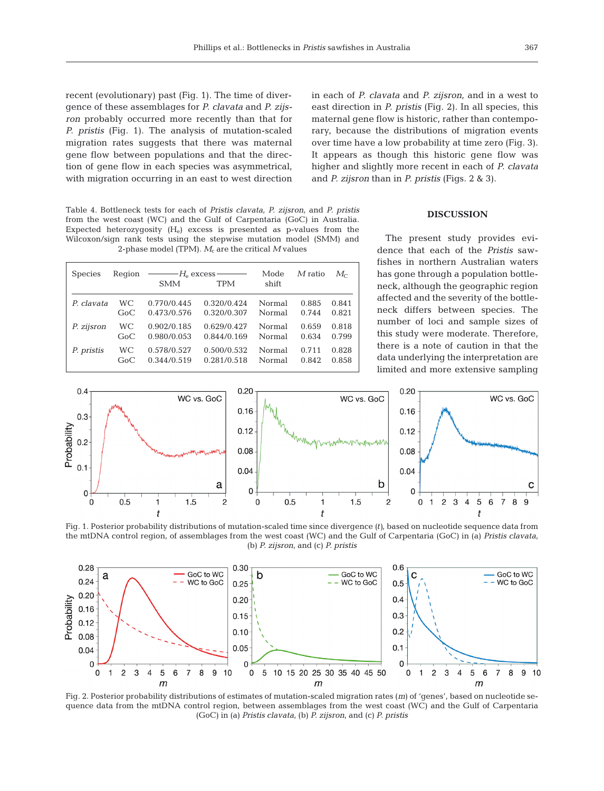recent (evolutionary) past (Fig. 1). The time of divergence of these assemblages for *P. clavata* and *P. zijsron* probably occurred more recently than that for *P. pristis* (Fig. 1). The analysis of mutation-scaled migration rates suggests that there was maternal gene flow between populations and that the direction of gene flow in each species was asymmetrical, with migration occurring in an east to west direction

Table 4. Bottleneck tests for each of *Pristis clavata*, *P. zijsron*, and *P. pristis* from the west coast (WC) and the Gulf of Carpentaria (GoC) in Australia. Expected heterozygosity  $(H_e)$  excess is presented as p-values from the Wilcoxon/sign rank tests using the stepwise mutation model (SMM) and 2-phase model (TPM).  $M_c$  are the critical  $M$  values

| <b>Species</b> | Region | $\overline{\phantom{a}}$ $\overline{\phantom{a}}$ $\overline{\phantom{a}}$ $\overline{\phantom{a}}$ $\overline{\phantom{a}}$ $\overline{\phantom{a}}$ $\overline{\phantom{a}}$ $\overline{\phantom{a}}$ $\overline{\phantom{a}}$ $\overline{\phantom{a}}$ $\overline{\phantom{a}}$ $\overline{\phantom{a}}$ $\overline{\phantom{a}}$ $\overline{\phantom{a}}$ $\overline{\phantom{a}}$ $\overline{\phantom{a}}$ $\overline{\phantom{a}}$ $\overline{\phantom{a}}$ $\overline{\$<br><b>SMM</b> | <b>TPM</b>  | Mode<br>shift | $M$ ratio | $M_{\rm c}$ |
|----------------|--------|-----------------------------------------------------------------------------------------------------------------------------------------------------------------------------------------------------------------------------------------------------------------------------------------------------------------------------------------------------------------------------------------------------------------------------------------------------------------------------------------------|-------------|---------------|-----------|-------------|
| P. clavata     | WC.    | 0.770/0.445                                                                                                                                                                                                                                                                                                                                                                                                                                                                                   | 0.320/0.424 | Normal        | 0.885     | 0.841       |
|                | GoC    | 0.473/0.576                                                                                                                                                                                                                                                                                                                                                                                                                                                                                   | 0.320/0.307 | Normal        | 0.744     | 0.821       |
| P. zijsron     | WС     | 0.902/0.185                                                                                                                                                                                                                                                                                                                                                                                                                                                                                   | 0.629/0.427 | Normal        | 0.659     | 0.818       |
|                | GoC    | 0.980/0.053                                                                                                                                                                                                                                                                                                                                                                                                                                                                                   | 0.844/0.169 | Normal        | 0.634     | 0.799       |
| P. pristis     | WС     | 0.578/0.527                                                                                                                                                                                                                                                                                                                                                                                                                                                                                   | 0.500/0.532 | Normal        | 0.711     | 0.828       |
|                | GoC    | 0.344/0.519                                                                                                                                                                                                                                                                                                                                                                                                                                                                                   | 0.281/0.518 | Normal        | 0.842     | 0.858       |

in each of *P. clavata* and *P. zijsron*, and in a west to east direction in *P. pristis* (Fig. 2). In all species, this maternal gene flow is historic, rather than contemporary, because the distributions of migration events over time have a low probability at time zero (Fig. 3). It appears as though this historic gene flow was higher and slightly more recent in each of *P. clavata* and *P. zijsron* than in *P. pristis* (Figs. 2 & 3).

# **DISCUSSION**

The present study provides evidence that each of the *Pristis* sawfishes in northern Australian waters has gone through a population bottleneck, although the geographic region affected and the severity of the bottleneck differs between species. The number of loci and sample sizes of this study were moderate. Therefore, there is a note of caution in that the data underlying the interpretation are limited and more extensive sampling



Fig. 1. Posterior probability distributions of mutation-scaled time since divergence *(t)*, based on nucleotide sequence data from the mtDNA control region, of assemblages from the west coast (WC) and the Gulf of Carpentaria (GoC) in (a) *Pristis clavata*, (b) *P. zijsron*, and (c) *P. pristis*



Fig. 2. Posterior probability distributions of estimates of mutation-scaled migration rates (*m*) of 'genes', based on nucleotide sequence data from the mtDNA control region, between assemblages from the west coast (WC) and the Gulf of Carpentaria (GoC) in (a) *Pristis clavata*, (b) *P. zijsron*, and (c) *P. pristis*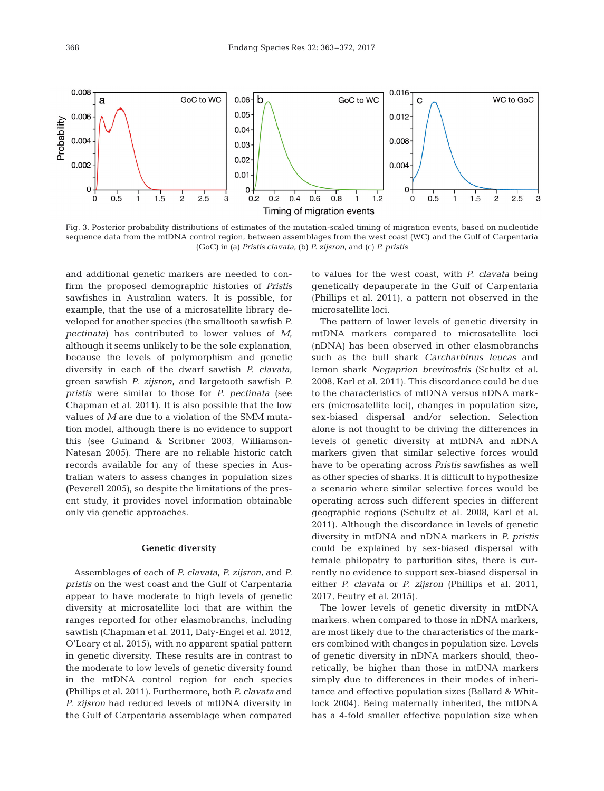

Fig. 3. Posterior probability distributions of estimates of the mutation-scaled timing of migration events, based on nucleotide sequence data from the mtDNA control region, between assemblages from the west coast (WC) and the Gulf of Carpentaria (GoC) in (a) *Pristis clavata*, (b) *P. zijsron*, and (c) *P. pristis*

and additional genetic markers are needed to confirm the proposed demographic histories of *Pristis* sawfishes in Australian waters. It is possible, for example, that the use of a microsatellite library developed for another species (the smalltooth sawfish *P. pectinata*) has contributed to lower values of *M*, although it seems unlikely to be the sole explanation, because the levels of polymorphism and genetic diversity in each of the dwarf sawfish *P. clavata*, green sawfish *P. zijsron*, and largetooth sawfish *P. pristis* were similar to those for *P. pectinata* (see Chapman et al. 2011). It is also possible that the low values of *M* are due to a violation of the SMM mutation model, although there is no evidence to support this (see Guinand & Scribner 2003, Williamson-Natesan 2005). There are no reliable historic catch records available for any of these species in Australian waters to assess changes in population sizes (Peverell 2005), so despite the limitations of the present study, it provides novel information obtainable only via genetic approaches.

#### **Genetic diversity**

Assemblages of each of *P. clavata*, *P. zijsron*, and *P. pristis* on the west coast and the Gulf of Carpentaria appear to have moderate to high levels of genetic diversity at microsatellite loci that are within the ranges reported for other elasmobranchs, including sawfish (Chapman et al. 2011, Daly-Engel et al. 2012, O'Leary et al. 2015), with no apparent spatial pattern in genetic diversity. These results are in contrast to the moderate to low levels of genetic diversity found in the mtDNA control region for each species (Phillips et al. 2011). Furthermore, both *P. clavata* and *P. zijsron* had reduced levels of mtDNA diversity in the Gulf of Carpentaria assemblage when compared to values for the west coast, with *P. clavata* being genetically depauperate in the Gulf of Carpentaria (Phillips et al. 2011), a pattern not observed in the microsatellite loci.

The pattern of lower levels of genetic diversity in mtDNA markers compared to microsatellite loci (nDNA) has been observed in other elasmobranchs such as the bull shark *Carcharhinus leucas* and lemon shark *Negaprion brevirostris* (Schultz et al. 2008, Karl et al. 2011). This discordance could be due to the characteristics of mtDNA versus nDNA markers (microsatellite loci), changes in population size, sex-biased dispersal and/or selection. Selection alone is not thought to be driving the differences in levels of genetic diversity at mtDNA and nDNA markers given that similar selective forces would have to be operating across *Pristis* sawfishes as well as other species of sharks. It is difficult to hypothesize a scenario where similar selective forces would be operating across such different species in different geographic regions (Schultz et al. 2008, Karl et al. 2011). Although the discordance in levels of genetic diversity in mtDNA and nDNA markers in *P. pristis* could be explained by sex-biased dispersal with female philopatry to parturition sites, there is currently no evidence to support sex-biased dispersal in either *P. clavata* or *P. zijsron* (Phillips et al. 2011, 2017, Feutry et al. 2015).

The lower levels of genetic diversity in mtDNA markers, when compared to those in nDNA markers, are most likely due to the characteristics of the markers combined with changes in population size. Levels of genetic diversity in nDNA markers should, theoretically, be higher than those in mtDNA markers simply due to differences in their modes of inheritance and effective population sizes (Ballard & Whitlock 2004). Being maternally inherited, the mtDNA has a 4-fold smaller effective population size when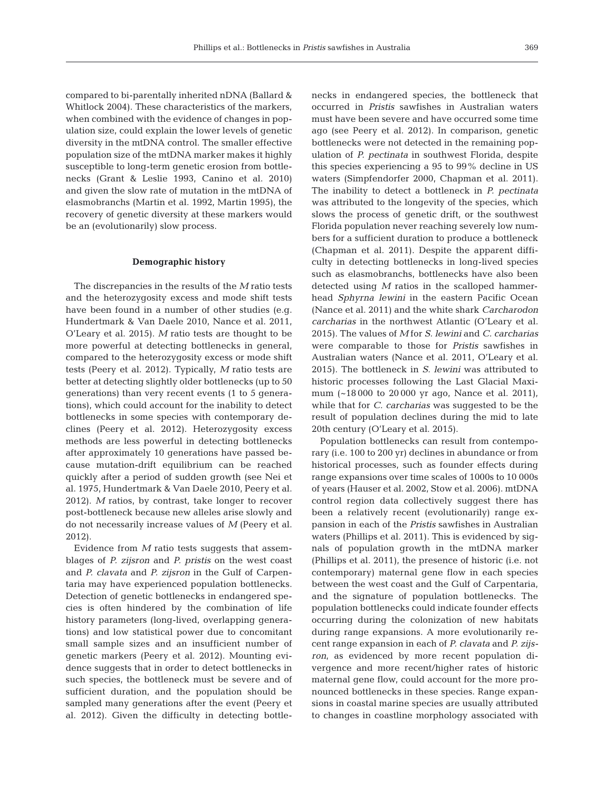compared to bi-parentally inherited nDNA (Ballard & Whitlock 2004). These characteristics of the markers, when combined with the evidence of changes in population size, could explain the lower levels of genetic diversity in the mtDNA control. The smaller effective population size of the mtDNA marker makes it highly susceptible to long-term genetic erosion from bottlenecks (Grant & Leslie 1993, Canino et al. 2010) and given the slow rate of mutation in the mtDNA of elasmo branchs (Martin et al. 1992, Martin 1995), the recovery of genetic diversity at these markers would be an (evolutionarily) slow process.

## **Demographic history**

The discrepancies in the results of the *M* ratio tests and the heterozygosity excess and mode shift tests have been found in a number of other studies (e.g. Hundertmark & Van Daele 2010, Nance et al. 2011, O'Leary et al. 2015). *M* ratio tests are thought to be more powerful at detecting bottlenecks in general, compared to the heterozygosity excess or mode shift tests (Peery et al. 2012). Typically, *M* ratio tests are better at detecting slightly older bottlenecks (up to 50 generations) than very recent events (1 to 5 generations), which could account for the inability to detect bottlenecks in some species with contemporary de clines (Peery et al. 2012). Heterozygosity excess methods are less powerful in detecting bottlenecks after approximately 10 generations have passed be cause mutation-drift equilibrium can be reached quickly after a period of sudden growth (see Nei et al. 1975, Hundertmark & Van Daele 2010, Peery et al. 2012). *M* ratios, by contrast, take longer to recover post-bottleneck because new alleles arise slowly and do not necessarily increase values of *M* (Peery et al. 2012).

Evidence from *M* ratio tests suggests that assemblages of *P. zijsron* and *P. pristis* on the west coast and *P. clavata* and *P. zijsron* in the Gulf of Carpentaria may have experienced population bottlenecks. Detection of genetic bottlenecks in endangered species is often hindered by the combination of life history parameters (long-lived, overlapping generations) and low statistical power due to concomitant small sample sizes and an insufficient number of genetic markers (Peery et al. 2012). Mounting evidence suggests that in order to detect bottlenecks in such species, the bottleneck must be severe and of sufficient duration, and the population should be sampled many generations after the event (Peery et al. 2012). Given the difficulty in detecting bottlenecks in endangered species, the bottleneck that occurred in *Pristis* sawfishes in Australian waters must have been severe and have occurred some time ago (see Peery et al. 2012). In comparison, genetic bottlenecks were not detected in the remaining population of *P. pectinata* in southwest Florida, despite this species experiencing a 95 to 99% decline in US waters (Simpfendorfer 2000, Chapman et al. 2011). The inability to detect a bottleneck in *P. pectinata* was attributed to the longevity of the species, which slows the process of genetic drift, or the southwest Florida population never reaching severely low numbers for a sufficient duration to produce a bottleneck (Chapman et al. 2011). Despite the apparent difficulty in detecting bottlenecks in long-lived species such as elasmobranchs, bottlenecks have also been detected using *M* ratios in the scalloped hammerhead *Sphyrna lewini* in the eastern Pacific Ocean (Nance et al. 2011) and the white shark *Carcharodon carcharias* in the northwest Atlantic (O'Leary et al. 2015). The values of *M* for *S. lewini* and *C. carcharias* were comparable to those for *Pristis* sawfishes in Australian waters (Nance et al. 2011, O'Leary et al. 2015). The bottleneck in *S. lewini* was attributed to historic processes following the Last Glacial Maximum (~18 000 to 20 000 yr ago, Nance et al. 2011), while that for *C. carcharias* was suggested to be the result of population declines during the mid to late 20th century (O'Leary et al. 2015).

Population bottlenecks can result from contemporary (i.e. 100 to 200 yr) declines in abundance or from historical processes, such as founder effects during range expansions over time scales of 1000s to 10 000s of years (Hauser et al. 2002, Stow et al. 2006). mtDNA control region data collectively suggest there has been a relatively recent (evolutionarily) range expansion in each of the *Pristis* sawfishes in Australian waters (Phillips et al. 2011). This is evidenced by signals of population growth in the mtDNA marker (Phillips et al. 2011), the presence of historic (i.e. not contemporary) maternal gene flow in each species between the west coast and the Gulf of Carpentaria, and the signature of population bottlenecks. The population bottlenecks could indicate founder effects occurring during the colonization of new habitats during range expansions. A more evolutionarily recent range expansion in each of *P. clavata* and *P. zijsron*, as evidenced by more recent population divergence and more recent/higher rates of historic maternal gene flow, could account for the more pronounced bottlenecks in these species. Range expansions in coastal marine species are usually attributed to changes in coastline morphology associated with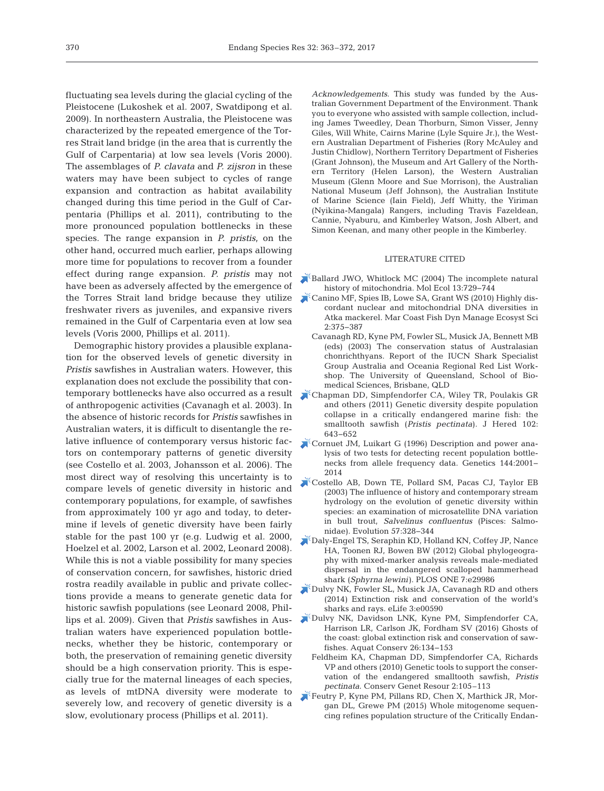fluctuating sea levels during the glacial cycling of the Pleistocene (Lukoshek et al. 2007, Swatdipong et al. 2009). In northeastern Australia, the Pleistocene was characterized by the repeated emergence of the Torres Strait land bridge (in the area that is currently the Gulf of Carpentaria) at low sea levels (Voris 2000). The assemblages of *P. clavata* and *P. zijsron* in these waters may have been subject to cycles of range expansion and contraction as habitat availability changed during this time period in the Gulf of Carpentaria (Phillips et al. 2011), contributing to the more pronounced population bottlenecks in these species. The range expansion in *P. pristis*, on the other hand, occurred much earlier, perhaps allowing more time for populations to recover from a founder effect during range expansion. *P. pristis* may not have been as adversely affected by the emergence of the Torres Strait land bridge because they utilize freshwater rivers as juveniles, and expansive rivers remained in the Gulf of Carpentaria even at low sea levels (Voris 2000, Phillips et al. 2011).

Demographic history provides a plausible explanation for the observed levels of genetic diversity in *Pristis* sawfishes in Australian waters. However, this explanation does not exclude the possibility that contemporary bottlenecks have also occurred as a result [Chapman DD, Simpfendorfer CA, Wiley TR, Poulakis GR](https://www.ncbi.nlm.nih.gov/entrez/query.fcgi?cmd=Retrieve&db=PubMed&list_uids=21926063&dopt=Abstract) of anthropogenic activities (Cavanagh et al. 2003). In the absence of historic records for *Pristis* sawfishes in Australian waters, it is difficult to disentangle the re lative influence of contemporary versus historic factors on contemporary patterns of genetic diversity (see Costello et al. 2003, Johansson et al. 2006). The most direct way of resolving this uncertainty is to compare levels of genetic diversity in historic and contemporary populations, for example, of sawfishes from approximately 100 yr ago and today, to determine if levels of genetic diversity have been fairly stable for the past 100 yr (e.g. Ludwig et al. 2000, Hoelzel et al. 2002, Larson et al. 2002, Leonard 2008). While this is not a viable possibility for many species of conservation concern, for sawfishes, historic dried rostra readily available in public and private collections provide a means to generate genetic data for historic sawfish populations (see Leonard 2008, Phillips et al. 2009). Given that *Pristis* sawfishes in Australian waters have experienced population bottlenecks, whether they be historic, contemporary or both, the preservation of remaining genetic diversity should be a high conservation priority. This is especially true for the maternal lineages of each species, as levels of mtDNA diversity were moderate to severely low, and recovery of genetic diversity is a slow, evolutionary process (Phillips et al. 2011).

*Acknowledgements*. This study was funded by the Australian Government Department of the Environment. Thank you to everyone who assisted with sample collection, including James Tweedley, Dean Thorburn, Simon Visser, Jenny Giles, Will White, Cairns Marine (Lyle Squire Jr.), the Western Australian Department of Fisheries (Rory McAuley and Justin Chidlow), Northern Territory Department of Fisheries (Grant Johnson), the Museum and Art Gallery of the Northern Territory (Helen Larson), the Western Australian Museum (Glenn Moore and Sue Morrison), the Australian National Museum (Jeff Johnson), the Australian Institute of Marine Science (Iain Field), Jeff Whitty, the Yiriman (Nyikina-Mangala) Rangers, including Travis Fazeldean, Cannie, Nyaburu, and Kimberley Watson, Josh Albert, and Simon Keenan, and many other people in the Kimberley.

### LITERATURE CITED

- [Ballard JWO, Whitlock MC \(2004\) The incomplete natural](https://www.ncbi.nlm.nih.gov/entrez/query.fcgi?cmd=Retrieve&db=PubMed&list_uids=15012752&dopt=Abstract) history of mitochondria. Mol Ecol 13: 729−744
- [Canino MF, Spies IB, Lowe SA, Grant WS \(2010\) Highly dis](https://doi.org/10.1577/C09-024.1)cordant nuclear and mitochondrial DNA diversities in Atka mackerel. Mar Coast Fish Dyn Manage Ecosyst Sci 2: 375−387
	- Cavanagh RD, Kyne PM, Fowler SL, Musick JA, Bennett MB (eds) (2003) The conservation status of Australasian chonrichthyans. Report of the IUCN Shark Specialist Group Australia and Oceania Regional Red List Workshop. The University of Queensland, School of Biomedical Sciences, Brisbane, QLD
- and others (2011) Genetic diversity despite population collapse in a critically endangered marine fish: the smalltooth sawfish (*Pristis pectinata*). J Hered 102: 643−652
- [Cornuet JM, Luikart G \(1996\) Description and power ana](https://www.ncbi.nlm.nih.gov/entrez/query.fcgi?cmd=Retrieve&db=PubMed&list_uids=8978083&dopt=Abstract)  lysis of two tests for detecting recent population bottlenecks from allele frequency data. Genetics 144:2001− 2014
- [Costello AB, Down TE, Pollard SM, Pacas CJ, Taylor EB](https://www.ncbi.nlm.nih.gov/entrez/query.fcgi?cmd=Retrieve&db=PubMed&list_uids=12683529&dopt=Abstract) (2003) The influence of history and contemporary stream hydrology on the evolution of genetic diversity within species: an examination of microsatellite DNA variation in bull trout, *Salvelinus confluentus* (Pisces: Salmonidae). Evolution 57: 328−344
- [Daly-Engel TS, Seraphin KD, Holland KN, Coffey JP, Nance](https://www.ncbi.nlm.nih.gov/entrez/query.fcgi?cmd=Retrieve&db=PubMed&list_uids=22253848&dopt=Abstract) HA, Toonen RJ, Bowen BW (2012) Global phylogeography with mixed-marker analysis reveals male-mediated dispersal in the endangered scalloped hammerhead shark (*Sphyrna lewini*). PLOS ONE 7:e29986
- $\triangle$  [Dulvy NK, Fowler SL, Musick JA, Cavanagh RD and others](https://www.ncbi.nlm.nih.gov/entrez/query.fcgi?cmd=Retrieve&db=PubMed&list_uids=24448405&dopt=Abstract) (2014) Extinction risk and conservation of the world's sharks and rays. eLife 3:e00590
- [Dulvy NK, Davidson LNK, Kyne PM, Simpfendorfer CA,](https://doi.org/10.1002/aqc.2525) Harrison LR, Carlson JK, Fordham SV (2016) Ghosts of the coast: global extinction risk and conservation of sawfishes. Aquat Conserv 26: 134−153
	- Feldheim KA, Chapman DD, Simpfendorfer CA, Richards VP and others (2010) Genetic tools to support the conservation of the endangered smalltooth sawfish, *Pristis pectinata*. Conserv Genet Resour 2:105–113
- [Feutry P, Kyne PM, Pillans RD, Chen X, Marthick JR, Mor](https://doi.org/10.3354/meps11354)gan DL, Grewe PM (2015) Whole mitogenome sequencing refines population structure of the Critically Endan-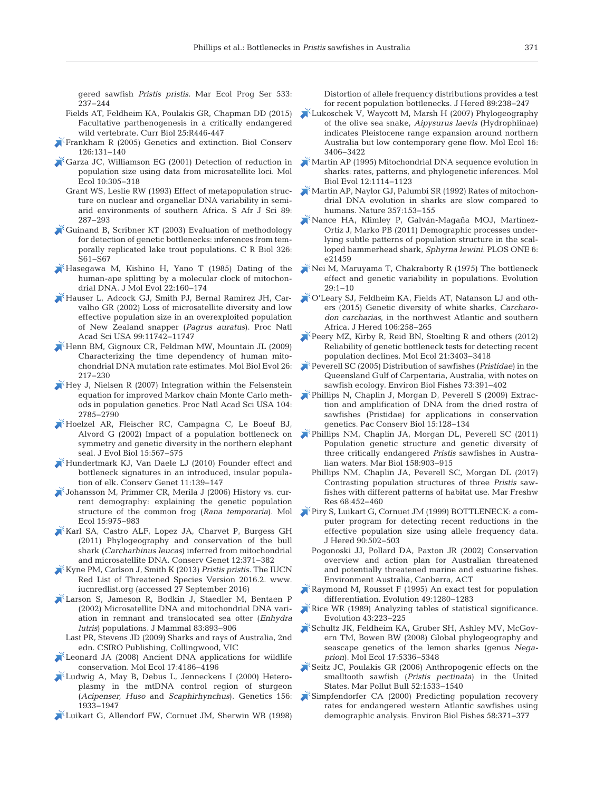gered sawfish *Pristis pristis.* Mar Ecol Prog Ser 533: 237−244

- Fields AT, Feldheim KA, Poulakis GR, Chapman DD (2015) Facultative parthenogenesis in a critically endangered wild vertebrate. Curr Biol 25:R446-447
- [Frankham R \(2005\) Genetics and extinction. Biol Conserv](https://doi.org/10.1016/j.biocon.2005.05.002) 126: 131−140
- [Garza JC, Williamson EG \(2001\) Detection of reduction in](https://www.ncbi.nlm.nih.gov/entrez/query.fcgi?cmd=Retrieve&db=PubMed&list_uids=11298947&dopt=Abstract) population size using data from microsatellite loci. Mol Ecol 10: 305−318
	- Grant WS, Leslie RW (1993) Effect of metapopulation structure on nuclear and organellar DNA variability in semiarid environments of southern Africa. S Afr J Sci 89: 287−293
- [Guinand B, Scribner KT \(2003\) Evaluation of methodology](https://www.ncbi.nlm.nih.gov/entrez/query.fcgi?cmd=Retrieve&db=PubMed&list_uids=14558451&dopt=Abstract) for detection of genetic bottlenecks: inferences from temporally replicated lake trout populations. C R Biol 326: S61−S67
- $\blacktriangleright$  [Hasegawa M, Kishino H, Yano T \(1985\) Dating of the](https://www.ncbi.nlm.nih.gov/entrez/query.fcgi?cmd=Retrieve&db=PubMed&list_uids=3934395&dopt=Abstract) human-ape splitting by a molecular clock of mitochondrial DNA. J Mol Evol 22: 160−174
- [Hauser L, Adcock GJ, Smith PJ, Bernal Ramirez JH, Car](https://www.ncbi.nlm.nih.gov/entrez/query.fcgi?cmd=Retrieve&db=PubMed&list_uids=12185245&dopt=Abstract)valho GR (2002) Loss of microsatellite diversity and low effective population size in an overexploited population of New Zealand snapper (*Pagrus auratus*). Proc Natl Acad Sci USA 99: 11742−11747
- [Henn BM, Gignoux CR, Feldman MW, Mountain JL \(2009\)](https://www.ncbi.nlm.nih.gov/entrez/query.fcgi?cmd=Retrieve&db=PubMed&list_uids=18984905&dopt=Abstract) Characterizing the time dependency of human mitochondrial DNA mutation rate estimates. Mol Biol Evol 26: 217−230
- $\mathbb{R}$  [Hey J, Nielsen R \(2007\) Integration within the Felsenstein](https://www.ncbi.nlm.nih.gov/entrez/query.fcgi?cmd=Retrieve&db=PubMed&list_uids=17301231&dopt=Abstract) equation for improved Markov chain Monte Carlo methods in population genetics. Proc Natl Acad Sci USA 104: 2785−2790
- [Hoelzel AR, Fleischer RC, Campagna C, Le Boeuf BJ,](https://doi.org/10.1046/j.1420-9101.2002.00419.x) Alvord G (2002) Impact of a population bottleneck on symmetry and genetic diversity in the northern elephant seal. J Evol Biol 15:567-575
- [Hundertmark KJ, Van Daele LJ \(2010\) Founder effect and](https://doi.org/10.1007/s10592-009-0013-z) bottleneck signatures in an introduced, insular population of elk. Conserv Genet 11: 139−147
- [Johansson M, Primmer CR, Merila J \(2006\) History vs. cur](https://www.ncbi.nlm.nih.gov/entrez/query.fcgi?cmd=Retrieve&db=PubMed&list_uids=16599961&dopt=Abstract)rent demography: explaining the genetic population structure of the common frog (*Rana temporaria*). Mol Ecol 15: 975−983
- [Karl SA, Castro ALF, Lopez JA, Charvet P, Burgess GH](https://doi.org/10.1007/s10592-010-0145-1) (2011) Phylogeography and conservation of the bull shark (*Carcharhinus leucas*) inferred from mitochondrial and microsatellite DNA. Conserv Genet 12: 371−382
- [Kyne PM, Carlson J, Smith K \(2013\)](http://www.iucnredlist.org) *Pristis pristis*. The IUCN Red List of Threatened Species Version 2016.2. www. iucnredlist.org (accessed 27 September 2016)
- [Larson S, Jameson R, Bodkin J, Staedler M, Bentaen P](https://doi.org/10.1644/1545-1542(2002)083%3C0893%3AMDAMDV%3E2.0.CO%3B2) (2002) Microsatellite DNA and mitochondrial DNA variation in remnant and translocated sea otter (*Enhydra lutris*) populations. J Mammal 83:893-906
	- Last PR, Stevens JD (2009) Sharks and rays of Australia, 2nd edn. CSIRO Publishing, Collingwood, VIC
- [Leonard JA \(2008\) Ancient DNA applications for wildlife](https://www.ncbi.nlm.nih.gov/entrez/query.fcgi?cmd=Retrieve&db=PubMed&list_uids=18684136&dopt=Abstract) conservation. Mol Ecol 17: 4186−4196
- [Ludwig A, May B, Debus L, Jenneckens I \(2000\) Hetero](https://www.ncbi.nlm.nih.gov/entrez/query.fcgi?cmd=Retrieve&db=PubMed&list_uids=11102385&dopt=Abstract)plasmy in the mtDNA control region of sturgeon (*Acipenser, Huso* and *Scaphirhynchus*). Genetics 156: 1933−1947
- [Luikart G, Allendorf FW, Cornuet JM, Sherwin WB \(1998\)](https://www.ncbi.nlm.nih.gov/entrez/query.fcgi?cmd=Retrieve&db=PubMed&list_uids=9656466&dopt=Abstract)

Distortion of allele frequency distributions provides a test for recent population bottlenecks. J Hered 89:238-247

- [Lukoschek V, Waycott M, Marsh H \(2007\) Phylogeography](https://www.ncbi.nlm.nih.gov/entrez/query.fcgi?cmd=Retrieve&db=PubMed&list_uids=17688542&dopt=Abstract) of the olive sea snake, *Aipysurus laevis* (Hydrophiinae) indicates Pleistocene range expansion around northern Australia but low contemporary gene flow. Mol Ecol 16: 3406−3422
- [Martin AP \(1995\) Mitochondrial DNA sequence evolution in](https://www.ncbi.nlm.nih.gov/entrez/query.fcgi?cmd=Retrieve&db=PubMed&list_uids=8524044&dopt=Abstract) sharks: rates, patterns, and phylogenetic inferences. Mol Biol Evol 12: 1114−1123
- [Martin AP, Naylor GJ, Palumbi SR \(1992\) Rates of mitochon](https://www.ncbi.nlm.nih.gov/entrez/query.fcgi?cmd=Retrieve&db=PubMed&list_uids=1579163&dopt=Abstract)drial DNA evolution in sharks are slow compared to humans. Nature 357: 153−155
- [Nance HA, Klimley P, Galván-Magaña MOJ, Martínez-](https://www.ncbi.nlm.nih.gov/entrez/query.fcgi?cmd=Retrieve&db=PubMed&list_uids=21789171&dopt=Abstract)Ortíz J, Marko PB (2011) Demographic processes underlying subtle patterns of population structure in the scalloped hammerhead shark, *Sphyrna lewini.* PLOS ONE 6: e21459
- [Nei M, Maruyama T, Chakraborty R \(1975\) The bottleneck](https://doi.org/10.2307/2407137) effect and genetic variability in populations. Evolution 29: 1−10
- [O'Leary SJ, Feldheim KA, Fields AT, Natanson LJ and oth](https://www.ncbi.nlm.nih.gov/entrez/query.fcgi?cmd=Retrieve&db=PubMed&list_uids=25762777&dopt=Abstract)ers (2015) Genetic diversity of white sharks, *Carcharodon carcharias*, in the northwest Atlantic and southern Africa. J Hered 106:258-265
- [Peery MZ, Kirby R, Reid BN, Stoelting R and others \(2012\)](https://www.ncbi.nlm.nih.gov/entrez/query.fcgi?cmd=Retrieve&db=PubMed&list_uids=22646281&dopt=Abstract) Reliability of genetic bottleneck tests for detecting recent population declines. Mol Ecol 21: 3403−3418
- [Peverell SC \(2005\) Distribution of sawfishes \(](https://doi.org/10.1007/s10641-005-1599-8)*Pristidae*) in the Queensland Gulf of Carpentaria, Australia, with notes on sawfish ecology. Environ Biol Fishes 73: 391−402
- [Phillips N, Chaplin J, Morgan D, Peverell S \(2009\) Extrac](https://doi.org/10.1071/PC090128)tion and amplification of DNA from the dried rostra of sawfishes (Pristidae) for applications in conservation genetics. Pac Conserv Biol 15: 128−134
- [Phillips NM, Chaplin JA, Morgan DL, Peverell SC \(2011\)](https://doi.org/10.1007/s00227-010-1617-z) Population genetic structure and genetic diversity of three critically endangered *Pristis* sawfishes in Austra lian waters. Mar Biol 158: 903−915
	- Phillips NM, Chaplin JA, Peverell SC, Morgan DL (2017) Contrasting population structures of three *Pristis* sawfishes with different patterns of habitat use. Mar Freshw Res 68: 452−460
- [Piry S, Luikart G, Cornuet JM \(1999\) BOTTLENECK:a com](https://doi.org/10.1093/jhered/90.4.502)puter program for detecting recent reductions in the effective population size using allele frequency data. J Hered 90: 502−503
	- Pogonoski JJ, Pollard DA, Paxton JR (2002) Conservation overview and action plan for Australian threatened and potentially threatened marine and estuarine fishes. Environment Australia, Canberra, ACT
- $K$ [Raymond M, Rousset F \(1995\) An exact test for population](https://doi.org/10.2307/2410454) differentiation. Evolution 49:1280-1283
- [Rice WR \(1989\) Analyzing tables of statistical significance.](https://doi.org/10.2307/2409177) Evolution 43: 223−225
- [Schultz JK, Feldheim KA, Gruber SH, Ashley MV, McGov](https://www.ncbi.nlm.nih.gov/entrez/query.fcgi?cmd=Retrieve&db=PubMed&list_uids=19121001&dopt=Abstract)ern TM, Bowen BW (2008) Global phylogeography and seascape genetics of the lemon sharks (genus *Nega prion*). Mol Ecol 17:5336-5348
- [Seitz JC, Poulakis GR \(2006\) Anthropogenic effects on the](https://www.ncbi.nlm.nih.gov/entrez/query.fcgi?cmd=Retrieve&db=PubMed&list_uids=17034820&dopt=Abstract) smalltooth sawfish (*Pristis pectinata*) in the United States. Mar Pollut Bull 52: 1533−1540
- [Simpfendorfer CA \(2000\) Predicting population recovery](https://doi.org/10.1023/A%3A1007675111597) rates for endangered western Atlantic sawfishes using demographic analysis. Environ Biol Fishes 58:371-377